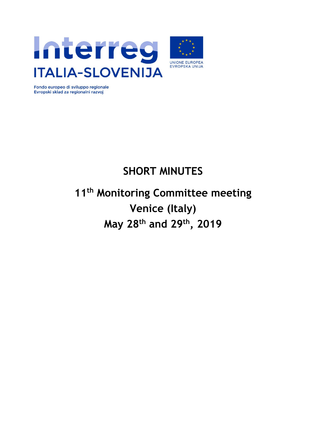



Fondo europeo di sviluppo regionale Evropski sklad za regionalni razvoj

# **SHORT MINUTES**

# **11th Monitoring Committee meeting Venice (Italy) May 28th and 29th, 2019**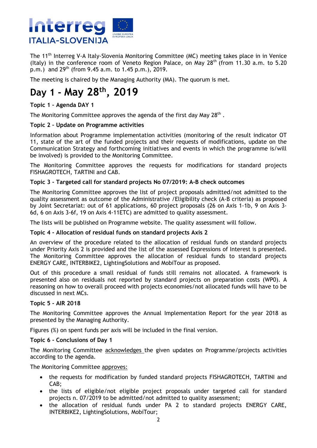

The 11<sup>th</sup> Interreg V-A Italy-Slovenia Monitoring Committee (MC) meeting takes place in in Venice (Italy) in the conference room of Veneto Region Palace, on May  $28<sup>th</sup>$  (from 11.30 a.m. to 5.20  $p.m.$ ) and  $29^{th}$  (from 9.45 a.m. to 1.45 p.m.), 2019.

The meeting is chaired by the Managing Authority (MA). The quorum is met.

# **Day 1 - May 28th, 2019**

### **Topic 1 – Agenda DAY 1**

The Monitoring Committee approves the agenda of the first day May 28<sup>th</sup>.

### **Topic 2 – Update on Programme activities**

Information about Programme implementation activities (monitoring of the result indicator OT 11, state of the art of the funded projects and their requests of modifications, update on the Communication Strategy and forthcoming initiatives and events in which the programme is/will be involved) is provided to the Monitoring Committee.

The Monitoring Committee approves the requests for modifications for standard projects FISHAGROTECH, TARTINI and CAB.

### **Topic 3 - Targeted call for standard projects No 07/2019: A-B check outcomes**

The Monitoring Committee approves the list of project proposals admitted/not admitted to the quality assessment as outcome of the Administrative /Eligibility check (A-B criteria) as proposed by Joint Secretariat: out of 61 applications, 60 project proposals (26 on Axis 1-1b, 9 on Axis 3- 6d, 6 on Axis 3-6f, 19 on Axis 4-11ETC) are admitted to quality assessment.

The lists will be published on Programme website. The quality assessment will follow.

### **Topic 4 - Allocation of residual funds on standard projects Axis 2**

An overview of the procedure related to the allocation of residual funds on standard projects under Priority Axis 2 is provided and the list of the assessed Expressions of Interest is presented. The Monitoring Committee approves the allocation of residual funds to standard projects ENERGY CARE, INTERBIKE2, LightingSolutions and MobiTour as proposed.

Out of this procedure a small residual of funds still remains not allocated. A framework is presented also on residuals not reported by standard projects on preparation costs (WP0). A reasoning on how to overall proceed with projects economies/not allocated funds will have to be discussed in next MCs.

### **Topic 5 - AIR 2018**

The Monitoring Committee approves the Annual Implementation Report for the year 2018 as presented by the Managing Authority.

Figures (%) on spent funds per axis will be included in the final version.

### **Topic 6 - Conclusions of Day 1**

The Monitoring Committee acknowledges the given updates on Programme/projects activities according to the agenda.

The Monitoring Committee approves:

- the requests for modification by funded standard projects FISHAGROTECH, TARTINI and CAB;
- the lists of eligible/not eligible project proposals under targeted call for standard projects n. 07/2019 to be admitted/not admitted to quality assessment;
- the allocation of residual funds under PA 2 to standard projects ENERGY CARE, INTERBIKE2, LightingSolutions, MobiTour;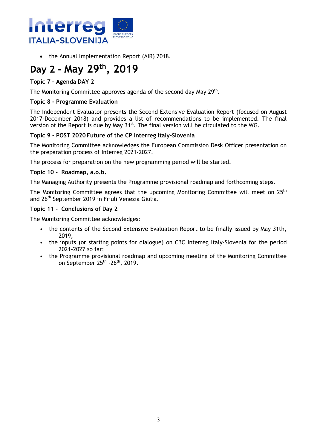

• the Annual Implementation Report (AIR) 2018.

# **Day 2 - May 29th, 2019**

### **Topic 7 – Agenda DAY 2**

The Monitoring Committee approves agenda of the second day May 29<sup>th</sup>.

### **Topic 8 - Programme Evaluation**

The Independent Evaluator presents the Second Extensive Evaluation Report (focused on August 2017-December 2018) and provides a list of recommendations to be implemented. The final version of the Report is due by May 31<sup>st</sup>. The final version will be circulated to the WG.

### **Topic 9 - POST 2020 Future of the CP Interreg Italy-Slovenia**

The Monitoring Committee acknowledges the European Commission Desk Officer presentation on the preparation process of Interreg 2021-2027.

The process for preparation on the new programming period will be started.

### **Topic 10 - Roadmap, a.o.b.**

The Managing Authority presents the Programme provisional roadmap and forthcoming steps.

The Monitoring Committee agrees that the upcoming Monitoring Committee will meet on 25<sup>th</sup> and 26th September 2019 in Friuli Venezia Giulia.

### **Topic 11 - Conclusions of Day 2**

The Monitoring Committee acknowledges:

- the contents of the Second Extensive Evaluation Report to be finally issued by May 31th, 2019;
- the inputs (or starting points for dialogue) on CBC Interreg Italy-Slovenia for the period 2021-2027 so far;
- the Programme provisional roadmap and upcoming meeting of the Monitoring Committee on September 25<sup>th</sup> -26<sup>th</sup>, 2019.